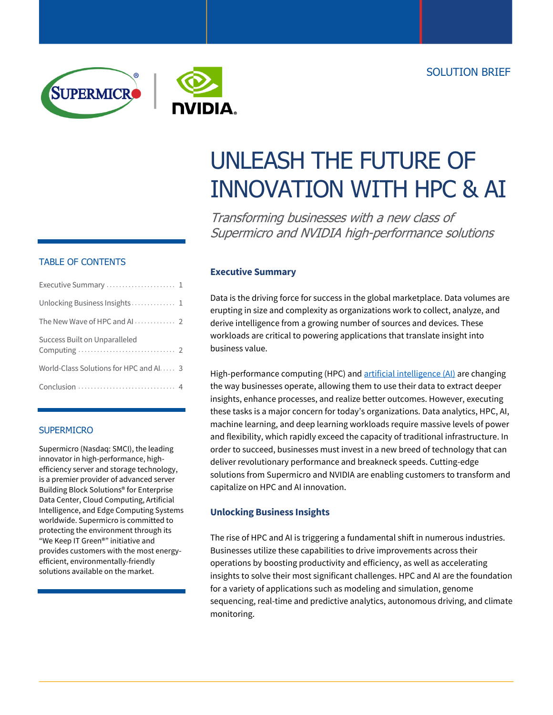



# UNLEASH THE FUTURE OF INNOVATION WITH HPC & AI

Transforming businesses with a new class of Supermicro and NVIDIA high-performance solutions

## TABLE OF CONTENTS

| Executive Summary  1                   |  |
|----------------------------------------|--|
| Unlocking Business Insights 1          |  |
|                                        |  |
| Success Built on Unparalleled          |  |
| World-Class Solutions for HPC and AI 3 |  |
|                                        |  |

## **SUPERMICRO**

Supermicro (Nasdaq: SMCI), the leading innovator in high-performance, highefficiency server and storage technology, is a premier provider of advanced server Building Block Solutions® for Enterprise Data Center, Cloud Computing, Artificial Intelligence, and Edge Computing Systems worldwide. Supermicro is committed to protecting the environment through its "We Keep IT Green®" initiative and provides customers with the most energyefficient, environmentally-friendly solutions available on the market.

## **Executive Summary**

Data is the driving force for success in the global marketplace. Data volumes are erupting in size and complexity as organizations work to collect, analyze, and derive intelligence from a growing number of sources and devices. These workloads are critical to powering applications that translate insight into business value.

High-performance computing (HPC) and [artificial intelligence \(AI\)](https://www.nvidia.com/en-us/deep-learning-ai/) are changing the way businesses operate, allowing them to use their data to extract deeper insights, enhance processes, and realize better outcomes. However, executing these tasks is a major concern for today's organizations. Data analytics, HPC, AI, machine learning, and deep learning workloads require massive levels of power and flexibility, which rapidly exceed the capacity of traditional infrastructure. In order to succeed, businesses must invest in a new breed of technology that can deliver revolutionary performance and breakneck speeds. Cutting-edge solutions from Supermicro and NVIDIA are enabling customers to transform and capitalize on HPC and AI innovation.

## **Unlocking Business Insights**

The rise of HPC and AI is triggering a fundamental shift in numerous industries. Businesses utilize these capabilities to drive improvements across their operations by boosting productivity and efficiency, as well as accelerating insights to solve their most significant challenges. HPC and AI are the foundation for a variety of applications such as modeling and simulation, genome sequencing, real-time and predictive analytics, autonomous driving, and climate monitoring.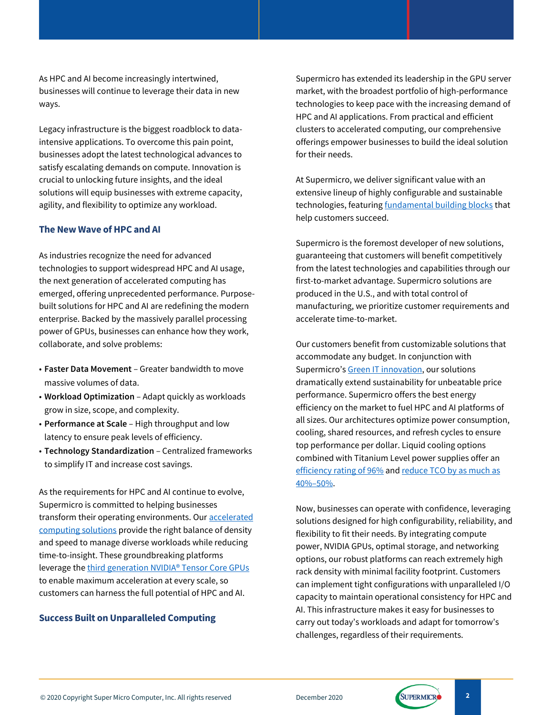As HPC and AI become increasingly intertwined, businesses will continue to leverage their data in new ways.

Legacy infrastructure is the biggest roadblock to dataintensive applications. To overcome this pain point, businesses adopt the latest technological advances to satisfy escalating demands on compute. Innovation is crucial to unlocking future insights, and the ideal solutions will equip businesses with extreme capacity, agility, and flexibility to optimize any workload.

#### **The New Wave of HPC and AI**

As industries recognize the need for advanced technologies to support widespread HPC and AI usage, the next generation of accelerated computing has emerged, offering unprecedented performance. Purposebuilt solutions for HPC and AI are redefining the modern enterprise. Backed by the massively parallel processing power of GPUs, businesses can enhance how they work, collaborate, and solve problems:

- **Faster Data Movement** Greater bandwidth to move massive volumes of data.
- **Workload Optimization** Adapt quickly as workloads grow in size, scope, and complexity.
- **Performance at Scale** High throughput and low latency to ensure peak levels of efficiency.
- **Technology Standardization** Centralized frameworks to simplify IT and increase cost savings.

As the requirements for HPC and AI continue to evolve, Supermicro is committed to helping businesses transform their operating environments. Ou[r accelerated](https://www.supermicro.com/en/products/GPU/)  [computing solutions](https://www.supermicro.com/en/products/GPU/) provide the right balance of density and speed to manage diverse workloads while reducing time-to-insight. These groundbreaking platforms leverage the third [generation NVIDIA® Tensor Core GPUs](https://www.nvidia.com/en-us/data-center/a100/) to enable maximum acceleration at every scale, so customers can harness the full potential of HPC and AI.

### **Success Built on Unparalleled Computing**

Supermicro has extended its leadership in the GPU server market, with the broadest portfolio of high-performance technologies to keep pace with the increasing demand of HPC and AI applications. From practical and efficient clusters to accelerated computing, our comprehensive offerings empower businesses to build the ideal solution for their needs.

At Supermicro, we deliver significant value with an extensive lineup of highly configurable and sustainable technologies, featuring [fundamental building blocks](https://www.supermicro.com/en/solutions/high-performance-computing) that help customers succeed.

Supermicro is the foremost developer of new solutions, guaranteeing that customers will benefit competitively from the latest technologies and capabilities through our first-to-market advantage. Supermicro solutions are produced in the U.S., and with total control of manufacturing, we prioritize customer requirements and accelerate time-to-market.

Our customers benefit from customizable solutions that accommodate any budget. In conjunction with Supermicro's [Green IT innovation,](https://www.supermicro.com/en/about/resource-savings-architecture) our solutions dramatically extend sustainability for unbeatable price performance. Supermicro offers the best energy efficiency on the market to fuel HPC and AI platforms of all sizes. Our architectures optimize power consumption, cooling, shared resources, and refresh cycles to ensure top performance per dollar. Liquid cooling options combined with Titanium Level power supplies offer an [efficiency rating of 96%](https://www.supermicro.com/white_paper/power_supply_Titanium_White-Paper.pdf) and reduce TCO by as much as 40%–[50%.](https://www.supermicro.com/datasheet/datasheet_Liquid-Cooling.pdf)

Now, businesses can operate with confidence, leveraging solutions designed for high configurability, reliability, and flexibility to fit their needs. By integrating compute power, NVIDIA GPUs, optimal storage, and networking options, our robust platforms can reach extremely high rack density with minimal facility footprint. Customers can implement tight configurations with unparalleled I/O capacity to maintain operational consistency for HPC and AI. This infrastructure makes it easy for businesses to carry out today's workloads and adapt for tomorrow's challenges, regardless of their requirements.

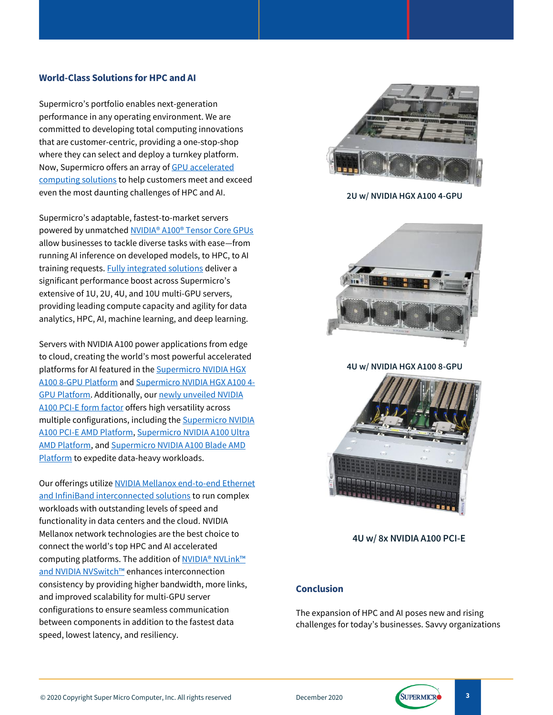#### **World-Class Solutions for HPC and AI**

Supermicro's portfolio enables next-generation performance in any operating environment. We are committed to developing total computing innovations that are customer-centric, providing a one-stop-shop where they can select and deploy a turnkey platform. Now, Supermicro offers an array o[f GPU accelerated](https://www.supermicro.com/en/products/GPU/)  [computing solutions](https://www.supermicro.com/en/products/GPU/) to help customers meet and exceed even the most daunting challenges of HPC and AI.

Supermicro's adaptable, fastest-to-market servers powered by unmatche[d NVIDIA® A100® Tensor Core GPUs](https://www.nvidia.com/en-us/data-center/a100/) allow businesses to tackle diverse tasks with ease—from running AI inference on developed models, to HPC, to AI training requests[. Fully integrated solutions](https://www.supermicro.com/en/products/a100) deliver a significant performance boost across Supermicro's extensive of 1U, 2U, 4U, and 10U multi-GPU servers, providing leading compute capacity and agility for data analytics, HPC, AI, machine learning, and deep learning.

Servers with NVIDIA A100 power applications from edge to cloud, creating the world's most powerful accelerated platforms for AI featured in th[e Supermicro NVIDIA HGX](https://developer.nvidia.com/blog/introducing-hgx-a100-most-powerful-accelerated-server-platform-for-ai-hpc/)  [A100 8-GPU](https://developer.nvidia.com/blog/introducing-hgx-a100-most-powerful-accelerated-server-platform-for-ai-hpc/) Platform an[d Supermicro NVIDIA HGX A100 4-](https://www.supermicro.com/en/Aplus/system/2U/2124/AS-2124GQ-NART.cfm) GPU [Platform.](https://www.supermicro.com/en/Aplus/system/2U/2124/AS-2124GQ-NART.cfm) Additionally, our [newly unveiled NVIDIA](https://www.supermicro.com/en/pressreleases/supermicro-boosts-performance-20x-data-science-hpc-and-ai-workloads-support-nvidia) A100 PCI-E [form factor](https://www.supermicro.com/en/pressreleases/supermicro-boosts-performance-20x-data-science-hpc-and-ai-workloads-support-nvidia) offers high versatility across multiple configurations, including th[e Supermicro NVIDIA](https://www.supermicro.com/en/Aplus/system/4U/4124/AS-4124GS-TNR.cfm)  A100 PCI-E [AMD Platform,](https://www.supermicro.com/en/Aplus/system/4U/4124/AS-4124GS-TNR.cfm) [Supermicro NVIDIA A100 Ultra](https://www.supermicro.com/en/Aplus/system/2U/2024/AS-2024US-TRT.cfm)  [AMD Platform,](https://www.supermicro.com/en/Aplus/system/2U/2024/AS-2024US-TRT.cfm) an[d Supermicro NVIDIA A100 Blade AMD](https://www.supermicro.com/en/Aplus/SuperBlade/module/SBA-4119SG.cfm)  [Platform](https://www.supermicro.com/en/Aplus/SuperBlade/module/SBA-4119SG.cfm) to expedite data-heavy workloads.

Our offerings utiliz[e NVIDIA Mellanox end-to-end Ethernet](https://www.mellanox.com/solutions/hpc)  [and InfiniBand interconnected solutions](https://www.mellanox.com/solutions/hpc) to run complex workloads with outstanding levels of speed and functionality in data centers and the cloud. NVIDIA Mellanox network technologies are the best choice to connect the world's top HPC and AI accelerated computing platforms. The addition of [NVIDIA® NVLink™](https://www.nvidia.com/en-us/data-center/nvlink/)  [and NVIDIA NVSwitch™](https://www.nvidia.com/en-us/data-center/nvlink/) enhances interconnection consistency by providing higher bandwidth, more links, and improved scalability for multi-GPU server configurations to ensure seamless communication between components in addition to the fastest data speed, lowest latency, and resiliency.



**2U w/ NVIDIA HGX A100 4-GPU**



**4U w/ NVIDIA HGX A100 8-GPU**



 **4U w/ 8x NVIDIA A100 PCI-E**

### **Conclusion**

The expansion of HPC and AI poses new and rising challenges for today's businesses. Savvy organizations